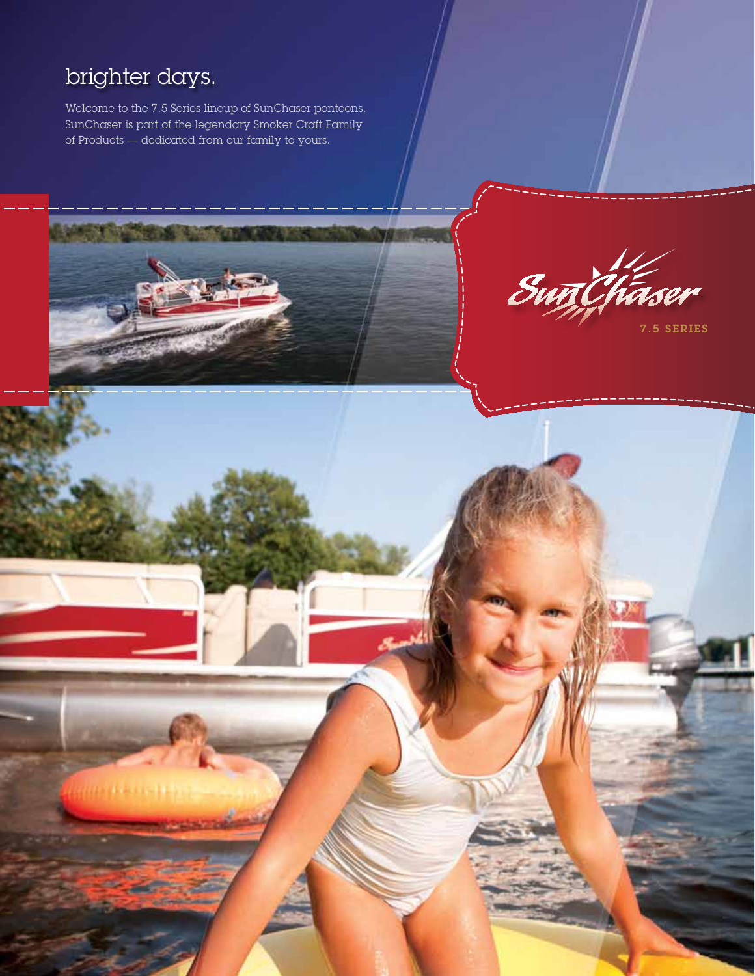## brighter days.

Welcome to the 7.5 Series lineup of SunChaser pontoons. SunChaser is part of the legendary Smoker Craft Family of Products — dedicated from our family to yours.





7.5 SERIES